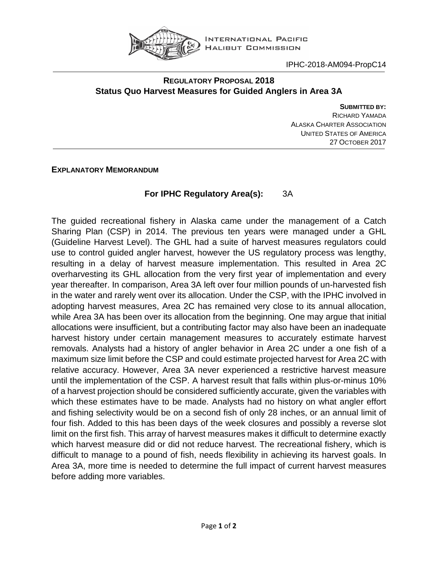

## **REGULATORY PROPOSAL 2018 Status Quo Harvest Measures for Guided Anglers in Area 3A**

**SUBMITTED BY:** RICHARD YAMADA ALASKA CHARTER ASSOCIATION UNITED STATES OF AMERICA 27 OCTOBER 2017

## **EXPLANATORY MEMORANDUM**

## **For IPHC Regulatory Area(s):** 3A

The guided recreational fishery in Alaska came under the management of a Catch Sharing Plan (CSP) in 2014. The previous ten years were managed under a GHL (Guideline Harvest Level). The GHL had a suite of harvest measures regulators could use to control guided angler harvest, however the US regulatory process was lengthy, resulting in a delay of harvest measure implementation. This resulted in Area 2C overharvesting its GHL allocation from the very first year of implementation and every year thereafter. In comparison, Area 3A left over four million pounds of un-harvested fish in the water and rarely went over its allocation. Under the CSP, with the IPHC involved in adopting harvest measures, Area 2C has remained very close to its annual allocation, while Area 3A has been over its allocation from the beginning. One may argue that initial allocations were insufficient, but a contributing factor may also have been an inadequate harvest history under certain management measures to accurately estimate harvest removals. Analysts had a history of angler behavior in Area 2C under a one fish of a maximum size limit before the CSP and could estimate projected harvest for Area 2C with relative accuracy. However, Area 3A never experienced a restrictive harvest measure until the implementation of the CSP. A harvest result that falls within plus-or-minus 10% of a harvest projection should be considered sufficiently accurate, given the variables with which these estimates have to be made. Analysts had no history on what angler effort and fishing selectivity would be on a second fish of only 28 inches, or an annual limit of four fish. Added to this has been days of the week closures and possibly a reverse slot limit on the first fish. This array of harvest measures makes it difficult to determine exactly which harvest measure did or did not reduce harvest. The recreational fishery, which is difficult to manage to a pound of fish, needs flexibility in achieving its harvest goals. In Area 3A, more time is needed to determine the full impact of current harvest measures before adding more variables.